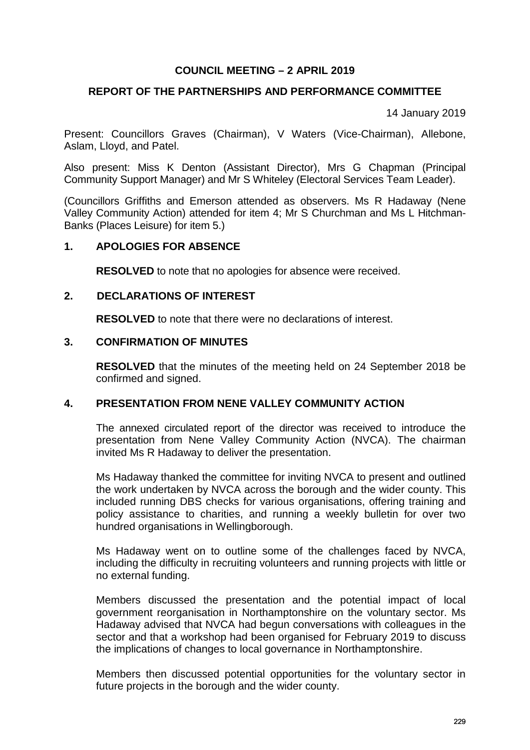## **COUNCIL MEETING – 2 APRIL 2019**

# **REPORT OF THE PARTNERSHIPS AND PERFORMANCE COMMITTEE**

14 January 2019

Present: Councillors Graves (Chairman), V Waters (Vice-Chairman), Allebone, Aslam, Lloyd, and Patel.

Also present: Miss K Denton (Assistant Director), Mrs G Chapman (Principal Community Support Manager) and Mr S Whiteley (Electoral Services Team Leader).

(Councillors Griffiths and Emerson attended as observers. Ms R Hadaway (Nene Valley Community Action) attended for item 4; Mr S Churchman and Ms L Hitchman-Banks (Places Leisure) for item 5.)

#### **1. APOLOGIES FOR ABSENCE**

**RESOLVED** to note that no apologies for absence were received.

#### **2. DECLARATIONS OF INTEREST**

**RESOLVED** to note that there were no declarations of interest.

#### **3. CONFIRMATION OF MINUTES**

**RESOLVED** that the minutes of the meeting held on 24 September 2018 be confirmed and signed.

#### **4. PRESENTATION FROM NENE VALLEY COMMUNITY ACTION**

The annexed circulated report of the director was received to introduce the presentation from Nene Valley Community Action (NVCA). The chairman invited Ms R Hadaway to deliver the presentation.

Ms Hadaway thanked the committee for inviting NVCA to present and outlined the work undertaken by NVCA across the borough and the wider county. This included running DBS checks for various organisations, offering training and policy assistance to charities, and running a weekly bulletin for over two hundred organisations in Wellingborough.

Ms Hadaway went on to outline some of the challenges faced by NVCA, including the difficulty in recruiting volunteers and running projects with little or no external funding.

Members discussed the presentation and the potential impact of local government reorganisation in Northamptonshire on the voluntary sector. Ms Hadaway advised that NVCA had begun conversations with colleagues in the sector and that a workshop had been organised for February 2019 to discuss the implications of changes to local governance in Northamptonshire.

Members then discussed potential opportunities for the voluntary sector in future projects in the borough and the wider county.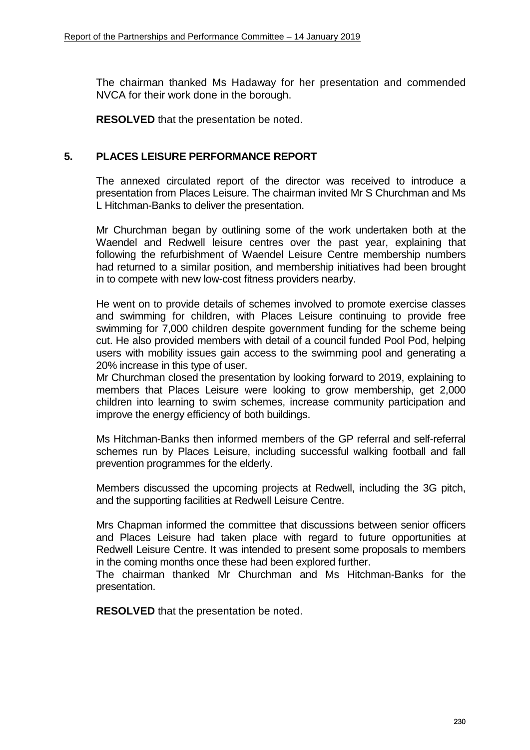The chairman thanked Ms Hadaway for her presentation and commended NVCA for their work done in the borough.

**RESOLVED** that the presentation be noted.

#### **5. PLACES LEISURE PERFORMANCE REPORT**

The annexed circulated report of the director was received to introduce a presentation from Places Leisure. The chairman invited Mr S Churchman and Ms L Hitchman-Banks to deliver the presentation.

Mr Churchman began by outlining some of the work undertaken both at the Waendel and Redwell leisure centres over the past year, explaining that following the refurbishment of Waendel Leisure Centre membership numbers had returned to a similar position, and membership initiatives had been brought in to compete with new low-cost fitness providers nearby.

He went on to provide details of schemes involved to promote exercise classes and swimming for children, with Places Leisure continuing to provide free swimming for 7,000 children despite government funding for the scheme being cut. He also provided members with detail of a council funded Pool Pod, helping users with mobility issues gain access to the swimming pool and generating a 20% increase in this type of user.

Mr Churchman closed the presentation by looking forward to 2019, explaining to members that Places Leisure were looking to grow membership, get 2,000 children into learning to swim schemes, increase community participation and improve the energy efficiency of both buildings.

Ms Hitchman-Banks then informed members of the GP referral and self-referral schemes run by Places Leisure, including successful walking football and fall prevention programmes for the elderly.

Members discussed the upcoming projects at Redwell, including the 3G pitch, and the supporting facilities at Redwell Leisure Centre.

Mrs Chapman informed the committee that discussions between senior officers and Places Leisure had taken place with regard to future opportunities at Redwell Leisure Centre. It was intended to present some proposals to members in the coming months once these had been explored further.

The chairman thanked Mr Churchman and Ms Hitchman-Banks for the presentation.

**RESOLVED** that the presentation be noted.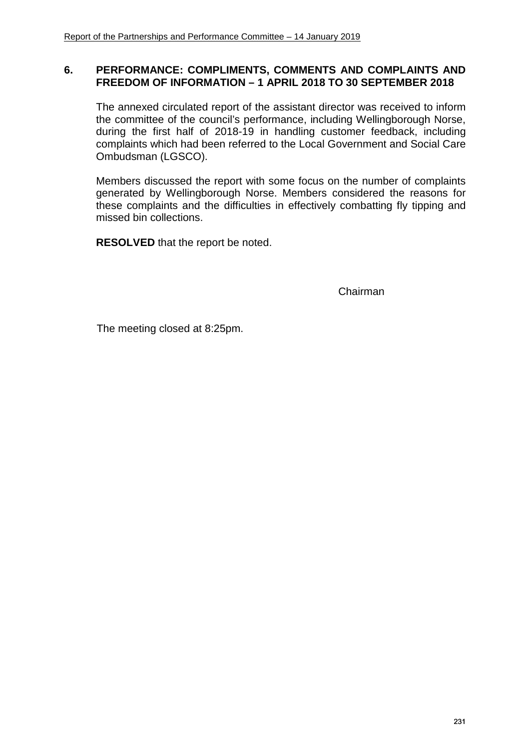## **6. PERFORMANCE: COMPLIMENTS, COMMENTS AND COMPLAINTS AND FREEDOM OF INFORMATION – 1 APRIL 2018 TO 30 SEPTEMBER 2018**

The annexed circulated report of the assistant director was received to inform the committee of the council's performance, including Wellingborough Norse, during the first half of 2018-19 in handling customer feedback, including complaints which had been referred to the Local Government and Social Care Ombudsman (LGSCO).

Members discussed the report with some focus on the number of complaints generated by Wellingborough Norse. Members considered the reasons for these complaints and the difficulties in effectively combatting fly tipping and missed bin collections.

**RESOLVED** that the report be noted.

Chairman

The meeting closed at 8:25pm.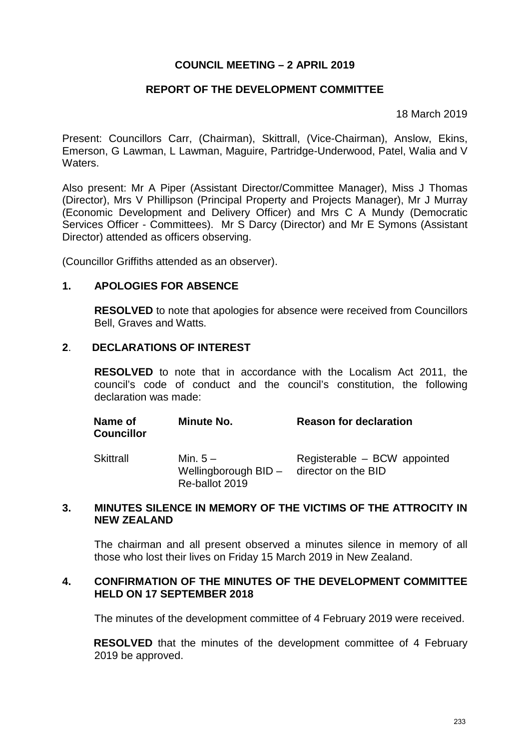## **COUNCIL MEETING – 2 APRIL 2019**

# **REPORT OF THE DEVELOPMENT COMMITTEE**

18 March 2019

Present: Councillors Carr, (Chairman), Skittrall, (Vice-Chairman), Anslow, Ekins, Emerson, G Lawman, L Lawman, Maguire, Partridge-Underwood, Patel, Walia and V **Waters** 

Also present: Mr A Piper (Assistant Director/Committee Manager), Miss J Thomas (Director), Mrs V Phillipson (Principal Property and Projects Manager), Mr J Murray (Economic Development and Delivery Officer) and Mrs C A Mundy (Democratic Services Officer - Committees). Mr S Darcy (Director) and Mr E Symons (Assistant Director) attended as officers observing.

(Councillor Griffiths attended as an observer).

#### **1. APOLOGIES FOR ABSENCE**

**RESOLVED** to note that apologies for absence were received from Councillors Bell, Graves and Watts.

## **2**. **DECLARATIONS OF INTEREST**

**RESOLVED** to note that in accordance with the Localism Act 2011, the council's code of conduct and the council's constitution, the following declaration was made:

| Name of<br><b>Councillor</b> | <b>Minute No.</b> | <b>Reason for declaration</b> |
|------------------------------|-------------------|-------------------------------|
| Skittrall                    | Min. $5-$         | Registerable – BCW appointed  |

Skittral Wellingborough BID - director on the BID Re-ballot 2019 gisterable – BCW appointed

#### **3. MINUTES SILENCE IN MEMORY OF THE VICTIMS OF THE ATTROCITY IN NEW ZEALAND**

The chairman and all present observed a minutes silence in memory of all those who lost their lives on Friday 15 March 2019 in New Zealand.

#### **4. CONFIRMATION OF THE MINUTES OF THE DEVELOPMENT COMMITTEE HELD ON 17 SEPTEMBER 2018**

The minutes of the development committee of 4 February 2019 were received.

**RESOLVED** that the minutes of the development committee of 4 February 2019 be approved.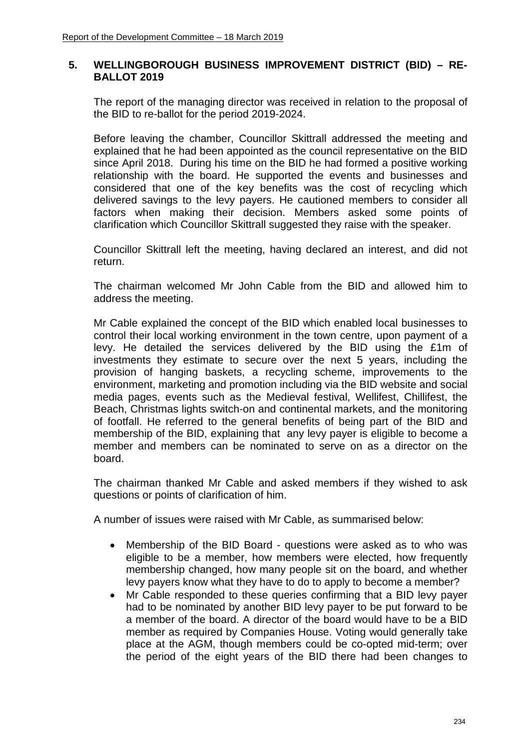# **5. WELLINGBOROUGH BUSINESS IMPROVEMENT DISTRICT (BID) – RE-BALLOT 2019**

The report of the managing director was received in relation to the proposal of the BID to re-ballot for the period 2019-2024.

Before leaving the chamber, Councillor Skittrall addressed the meeting and explained that he had been appointed as the council representative on the BID since April 2018. During his time on the BID he had formed a positive working relationship with the board. He supported the events and businesses and considered that one of the key benefits was the cost of recycling which delivered savings to the levy payers. He cautioned members to consider all factors when making their decision. Members asked some points of clarification which Councillor Skittrall suggested they raise with the speaker.

Councillor Skittrall left the meeting, having declared an interest, and did not return.

The chairman welcomed Mr John Cable from the BID and allowed him to address the meeting.

Mr Cable explained the concept of the BID which enabled local businesses to control their local working environment in the town centre, upon payment of a levy. He detailed the services delivered by the BID using the £1m of investments they estimate to secure over the next 5 years, including the provision of hanging baskets, a recycling scheme, improvements to the environment, marketing and promotion including via the BID website and social media pages, events such as the Medieval festival, Wellifest, Chillifest, the Beach, Christmas lights switch-on and continental markets, and the monitoring of footfall. He referred to the general benefits of being part of the BID and membership of the BID, explaining that any levy payer is eligible to become a member and members can be nominated to serve on as a director on the board.

The chairman thanked Mr Cable and asked members if they wished to ask questions or points of clarification of him.

A number of issues were raised with Mr Cable, as summarised below:

- Membership of the BID Board questions were asked as to who was eligible to be a member, how members were elected, how frequently membership changed, how many people sit on the board, and whether levy payers know what they have to do to apply to become a member?
- Mr Cable responded to these queries confirming that a BID levy payer had to be nominated by another BID levy payer to be put forward to be a member of the board. A director of the board would have to be a BID member as required by Companies House. Voting would generally take place at the AGM, though members could be co-opted mid-term; over the period of the eight years of the BID there had been changes to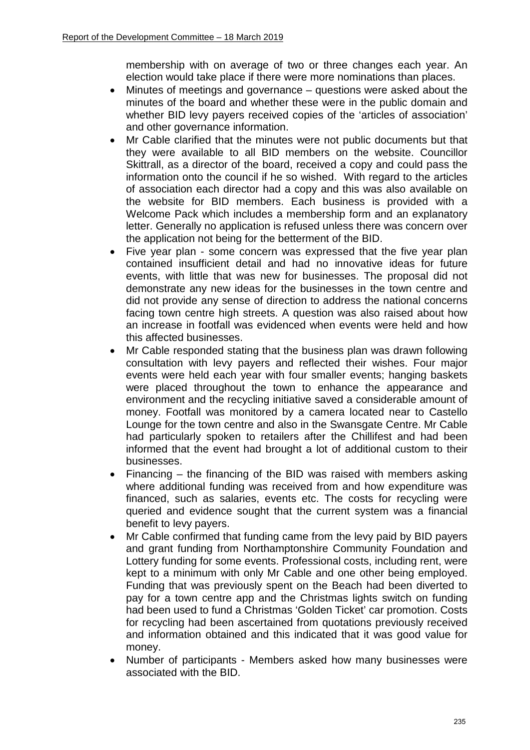membership with on average of two or three changes each year. An election would take place if there were more nominations than places.

- Minutes of meetings and governance questions were asked about the minutes of the board and whether these were in the public domain and whether BID levy payers received copies of the 'articles of association' and other governance information.
- Mr Cable clarified that the minutes were not public documents but that they were available to all BID members on the website. Councillor Skittrall, as a director of the board, received a copy and could pass the information onto the council if he so wished. With regard to the articles of association each director had a copy and this was also available on the website for BID members. Each business is provided with a Welcome Pack which includes a membership form and an explanatory letter. Generally no application is refused unless there was concern over the application not being for the betterment of the BID.
- Five year plan some concern was expressed that the five year plan contained insufficient detail and had no innovative ideas for future events, with little that was new for businesses. The proposal did not demonstrate any new ideas for the businesses in the town centre and did not provide any sense of direction to address the national concerns facing town centre high streets. A question was also raised about how an increase in footfall was evidenced when events were held and how this affected businesses.
- Mr Cable responded stating that the business plan was drawn following consultation with levy payers and reflected their wishes. Four major events were held each year with four smaller events; hanging baskets were placed throughout the town to enhance the appearance and environment and the recycling initiative saved a considerable amount of money. Footfall was monitored by a camera located near to Castello Lounge for the town centre and also in the Swansgate Centre. Mr Cable had particularly spoken to retailers after the Chillifest and had been informed that the event had brought a lot of additional custom to their businesses.
- Financing the financing of the BID was raised with members asking where additional funding was received from and how expenditure was financed, such as salaries, events etc. The costs for recycling were queried and evidence sought that the current system was a financial benefit to levy payers.
- Mr Cable confirmed that funding came from the levy paid by BID payers and grant funding from Northamptonshire Community Foundation and Lottery funding for some events. Professional costs, including rent, were kept to a minimum with only Mr Cable and one other being employed. Funding that was previously spent on the Beach had been diverted to pay for a town centre app and the Christmas lights switch on funding had been used to fund a Christmas 'Golden Ticket' car promotion. Costs for recycling had been ascertained from quotations previously received and information obtained and this indicated that it was good value for money.
- Number of participants Members asked how many businesses were associated with the BID.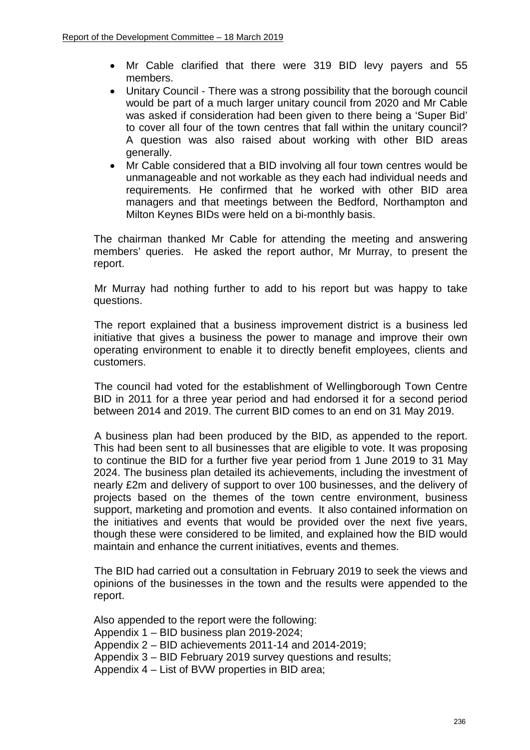- Mr Cable clarified that there were 319 BID levy payers and 55 members.
- Unitary Council There was a strong possibility that the borough council would be part of a much larger unitary council from 2020 and Mr Cable was asked if consideration had been given to there being a 'Super Bid' to cover all four of the town centres that fall within the unitary council? A question was also raised about working with other BID areas generally.
- Mr Cable considered that a BID involving all four town centres would be unmanageable and not workable as they each had individual needs and requirements. He confirmed that he worked with other BID area managers and that meetings between the Bedford, Northampton and Milton Keynes BIDs were held on a bi-monthly basis.

The chairman thanked Mr Cable for attending the meeting and answering members' queries. He asked the report author, Mr Murray, to present the report.

Mr Murray had nothing further to add to his report but was happy to take questions.

The report explained that a business improvement district is a business led initiative that gives a business the power to manage and improve their own operating environment to enable it to directly benefit employees, clients and customers.

The council had voted for the establishment of Wellingborough Town Centre BID in 2011 for a three year period and had endorsed it for a second period between 2014 and 2019. The current BID comes to an end on 31 May 2019.

A business plan had been produced by the BID, as appended to the report. This had been sent to all businesses that are eligible to vote. It was proposing to continue the BID for a further five year period from 1 June 2019 to 31 May 2024. The business plan detailed its achievements, including the investment of nearly £2m and delivery of support to over 100 businesses, and the delivery of projects based on the themes of the town centre environment, business support, marketing and promotion and events. It also contained information on the initiatives and events that would be provided over the next five years, though these were considered to be limited, and explained how the BID would maintain and enhance the current initiatives, events and themes.

The BID had carried out a consultation in February 2019 to seek the views and opinions of the businesses in the town and the results were appended to the report.

Also appended to the report were the following: Appendix 1 – BID business plan 2019-2024; Appendix 2 – BID achievements 2011-14 and 2014-2019; Appendix 3 – BID February 2019 survey questions and results; Appendix 4 – List of BVW properties in BID area;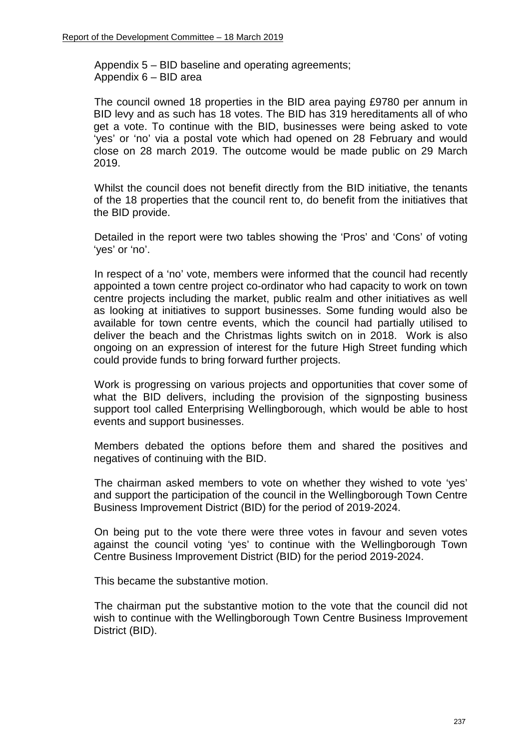Appendix 5 – BID baseline and operating agreements; Appendix 6 – BID area

The council owned 18 properties in the BID area paying £9780 per annum in BID levy and as such has 18 votes. The BID has 319 hereditaments all of who get a vote. To continue with the BID, businesses were being asked to vote 'yes' or 'no' via a postal vote which had opened on 28 February and would close on 28 march 2019. The outcome would be made public on 29 March 2019.

Whilst the council does not benefit directly from the BID initiative, the tenants of the 18 properties that the council rent to, do benefit from the initiatives that the BID provide.

Detailed in the report were two tables showing the 'Pros' and 'Cons' of voting 'yes' or 'no'.

In respect of a 'no' vote, members were informed that the council had recently appointed a town centre project co-ordinator who had capacity to work on town centre projects including the market, public realm and other initiatives as well as looking at initiatives to support businesses. Some funding would also be available for town centre events, which the council had partially utilised to deliver the beach and the Christmas lights switch on in 2018. Work is also ongoing on an expression of interest for the future High Street funding which could provide funds to bring forward further projects.

Work is progressing on various projects and opportunities that cover some of what the BID delivers, including the provision of the signposting business support tool called Enterprising Wellingborough, which would be able to host events and support businesses.

Members debated the options before them and shared the positives and negatives of continuing with the BID.

The chairman asked members to vote on whether they wished to vote 'yes' and support the participation of the council in the Wellingborough Town Centre Business Improvement District (BID) for the period of 2019-2024.

On being put to the vote there were three votes in favour and seven votes against the council voting 'yes' to continue with the Wellingborough Town Centre Business Improvement District (BID) for the period 2019-2024.

This became the substantive motion.

The chairman put the substantive motion to the vote that the council did not wish to continue with the Wellingborough Town Centre Business Improvement District (BID).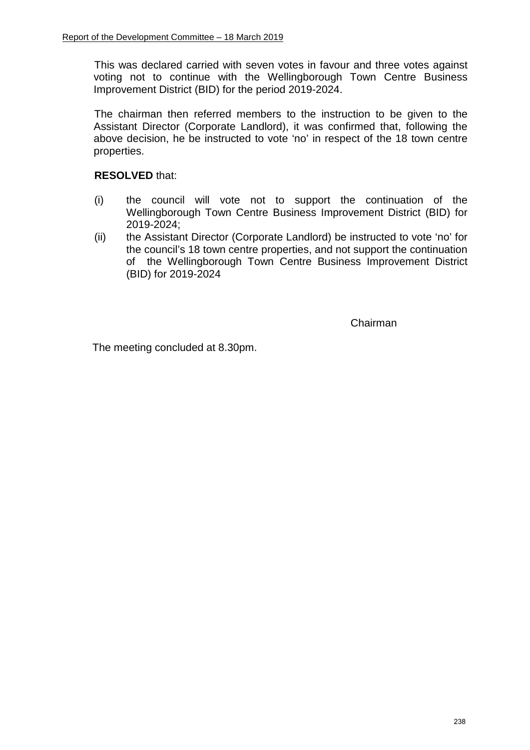This was declared carried with seven votes in favour and three votes against voting not to continue with the Wellingborough Town Centre Business Improvement District (BID) for the period 2019-2024.

The chairman then referred members to the instruction to be given to the Assistant Director (Corporate Landlord), it was confirmed that, following the above decision, he be instructed to vote 'no' in respect of the 18 town centre properties.

# **RESOLVED** that:

- (i) the council will vote not to support the continuation of the Wellingborough Town Centre Business Improvement District (BID) for 2019-2024;
- (ii) the Assistant Director (Corporate Landlord) be instructed to vote 'no' for the council's 18 town centre properties, and not support the continuation of the Wellingborough Town Centre Business Improvement District (BID) for 2019-2024

Chairman

The meeting concluded at 8.30pm.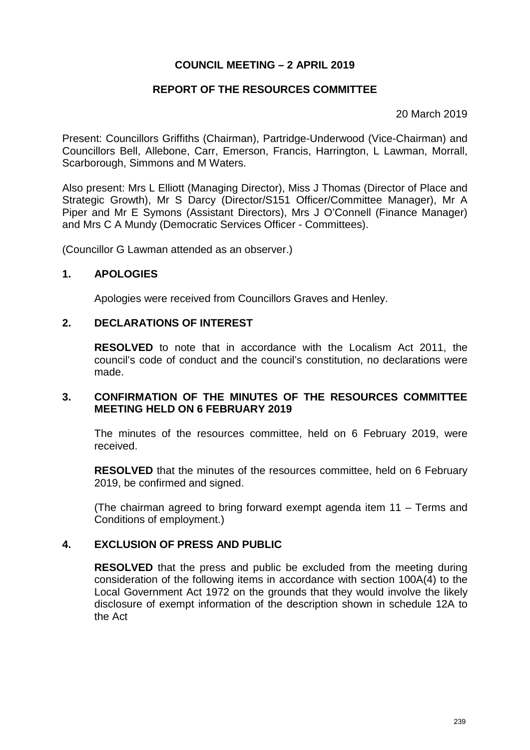# **COUNCIL MEETING – 2 APRIL 2019**

# **REPORT OF THE RESOURCES COMMITTEE**

20 March 2019

Present: Councillors Griffiths (Chairman), Partridge-Underwood (Vice-Chairman) and Councillors Bell, Allebone, Carr, Emerson, Francis, Harrington, L Lawman, Morrall, Scarborough, Simmons and M Waters.

Also present: Mrs L Elliott (Managing Director), Miss J Thomas (Director of Place and Strategic Growth), Mr S Darcy (Director/S151 Officer/Committee Manager), Mr A Piper and Mr E Symons (Assistant Directors), Mrs J O'Connell (Finance Manager) and Mrs C A Mundy (Democratic Services Officer - Committees).

(Councillor G Lawman attended as an observer.)

## **1. APOLOGIES**

Apologies were received from Councillors Graves and Henley.

## **2. DECLARATIONS OF INTEREST**

**RESOLVED** to note that in accordance with the Localism Act 2011, the council's code of conduct and the council's constitution, no declarations were made.

## **3. CONFIRMATION OF THE MINUTES OF THE RESOURCES COMMITTEE MEETING HELD ON 6 FEBRUARY 2019**

The minutes of the resources committee, held on 6 February 2019, were received.

**RESOLVED** that the minutes of the resources committee, held on 6 February 2019, be confirmed and signed.

(The chairman agreed to bring forward exempt agenda item 11 – Terms and Conditions of employment.)

# **4. EXCLUSION OF PRESS AND PUBLIC**

**RESOLVED** that the press and public be excluded from the meeting during consideration of the following items in accordance with section 100A(4) to the Local Government Act 1972 on the grounds that they would involve the likely disclosure of exempt information of the description shown in schedule 12A to the Act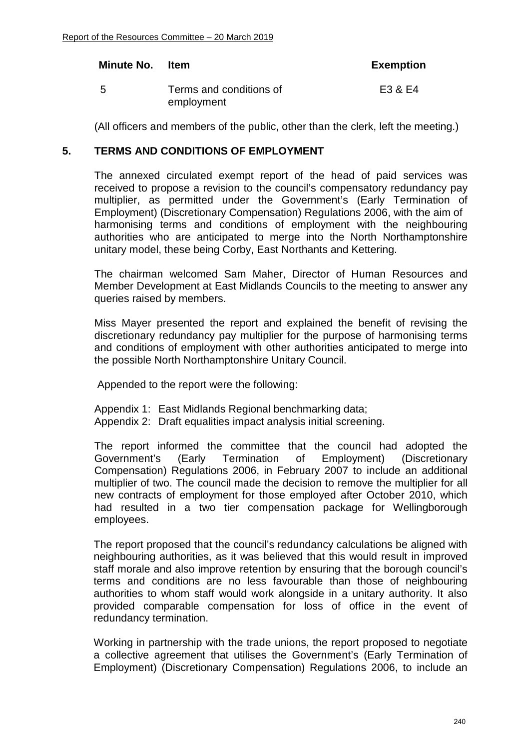#### **Minute No. Item Exemption**

5 Terms and conditions of employment E3 & E4

(All officers and members of the public, other than the clerk, left the meeting.)

# **5. TERMS AND CONDITIONS OF EMPLOYMENT**

The annexed circulated exempt report of the head of paid services was received to propose a revision to the council's compensatory redundancy pay multiplier, as permitted under the Government's (Early Termination of Employment) (Discretionary Compensation) Regulations 2006, with the aim of harmonising terms and conditions of employment with the neighbouring authorities who are anticipated to merge into the North Northamptonshire unitary model, these being Corby, East Northants and Kettering.

The chairman welcomed Sam Maher, Director of Human Resources and Member Development at East Midlands Councils to the meeting to answer any queries raised by members.

 Miss Mayer presented the report and explained the benefit of revising the discretionary redundancy pay multiplier for the purpose of harmonising terms and conditions of employment with other authorities anticipated to merge into the possible North Northamptonshire Unitary Council.

Appended to the report were the following:

Appendix 1: East Midlands Regional benchmarking data; Appendix 2: Draft equalities impact analysis initial screening.

The report informed the committee that the council had adopted the Government's (Early Termination of Employment) (Discretionary Compensation) Regulations 2006, in February 2007 to include an additional multiplier of two. The council made the decision to remove the multiplier for all new contracts of employment for those employed after October 2010, which had resulted in a two tier compensation package for Wellingborough employees.

The report proposed that the council's redundancy calculations be aligned with neighbouring authorities, as it was believed that this would result in improved staff morale and also improve retention by ensuring that the borough council's terms and conditions are no less favourable than those of neighbouring authorities to whom staff would work alongside in a unitary authority. It also provided comparable compensation for loss of office in the event of redundancy termination.

Working in partnership with the trade unions, the report proposed to negotiate a collective agreement that utilises the Government's (Early Termination of Employment) (Discretionary Compensation) Regulations 2006, to include an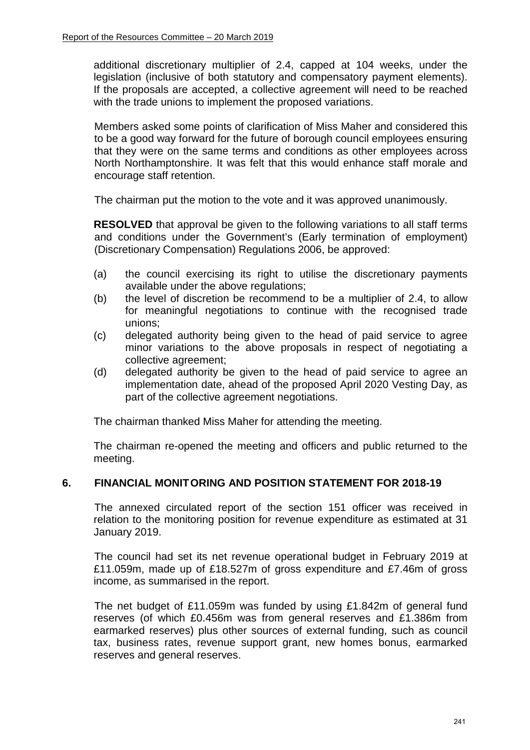additional discretionary multiplier of 2.4, capped at 104 weeks, under the legislation (inclusive of both statutory and compensatory payment elements). If the proposals are accepted, a collective agreement will need to be reached with the trade unions to implement the proposed variations.

Members asked some points of clarification of Miss Maher and considered this to be a good way forward for the future of borough council employees ensuring that they were on the same terms and conditions as other employees across North Northamptonshire. It was felt that this would enhance staff morale and encourage staff retention.

The chairman put the motion to the vote and it was approved unanimously.

**RESOLVED** that approval be given to the following variations to all staff terms and conditions under the Government's (Early termination of employment) (Discretionary Compensation) Regulations 2006, be approved:

- (a) the council exercising its right to utilise the discretionary payments available under the above regulations;
- (b) the level of discretion be recommend to be a multiplier of 2.4, to allow for meaningful negotiations to continue with the recognised trade unions;
- (c) delegated authority being given to the head of paid service to agree minor variations to the above proposals in respect of negotiating a collective agreement;
- (d) delegated authority be given to the head of paid service to agree an implementation date, ahead of the proposed April 2020 Vesting Day, as part of the collective agreement negotiations.

The chairman thanked Miss Maher for attending the meeting.

The chairman re-opened the meeting and officers and public returned to the meeting.

# **6. FINANCIAL MONIT ORING AND POSITION STATEMENT FOR 2018-19**

The annexed circulated report of the section 151 officer was received in relation to the monitoring position for revenue expenditure as estimated at 31 January 2019.

The council had set its net revenue operational budget in February 2019 at £11.059m, made up of £18.527m of gross expenditure and £7.46m of gross income, as summarised in the report.

The net budget of £11.059m was funded by using £1.842m of general fund reserves (of which £0.456m was from general reserves and £1.386m from earmarked reserves) plus other sources of external funding, such as council tax, business rates, revenue support grant, new homes bonus, earmarked reserves and general reserves.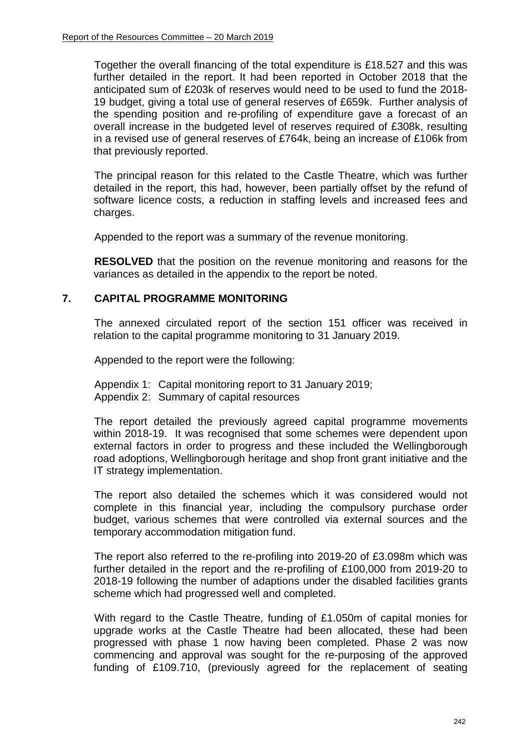Together the overall financing of the total expenditure is £18.527 and this was further detailed in the report. It had been reported in October 2018 that the anticipated sum of £203k of reserves would need to be used to fund the 2018- 19 budget, giving a total use of general reserves of £659k. Further analysis of the spending position and re-profiling of expenditure gave a forecast of an overall increase in the budgeted level of reserves required of £308k, resulting in a revised use of general reserves of £764k, being an increase of £106k from that previously reported.

The principal reason for this related to the Castle Theatre, which was further detailed in the report, this had, however, been partially offset by the refund of software licence costs, a reduction in staffing levels and increased fees and charges.

Appended to the report was a summary of the revenue monitoring.

**RESOLVED** that the position on the revenue monitoring and reasons for the variances as detailed in the appendix to the report be noted.

## **7. CAPITAL PROGRAMME MONITORING**

The annexed circulated report of the section 151 officer was received in relation to the capital programme monitoring to 31 January 2019.

Appended to the report were the following:

Appendix 1: Capital monitoring report to 31 January 2019;

Appendix 2: Summary of capital resources

The report detailed the previously agreed capital programme movements within 2018-19. It was recognised that some schemes were dependent upon external factors in order to progress and these included the Wellingborough road adoptions, Wellingborough heritage and shop front grant initiative and the IT strategy implementation.

The report also detailed the schemes which it was considered would not complete in this financial year, including the compulsory purchase order budget, various schemes that were controlled via external sources and the temporary accommodation mitigation fund.

The report also referred to the re-profiling into 2019-20 of £3.098m which was further detailed in the report and the re-profiling of £100,000 from 2019-20 to 2018-19 following the number of adaptions under the disabled facilities grants scheme which had progressed well and completed.

With regard to the Castle Theatre, funding of £1.050m of capital monies for upgrade works at the Castle Theatre had been allocated, these had been progressed with phase 1 now having been completed. Phase 2 was now commencing and approval was sought for the re-purposing of the approved funding of £109.710, (previously agreed for the replacement of seating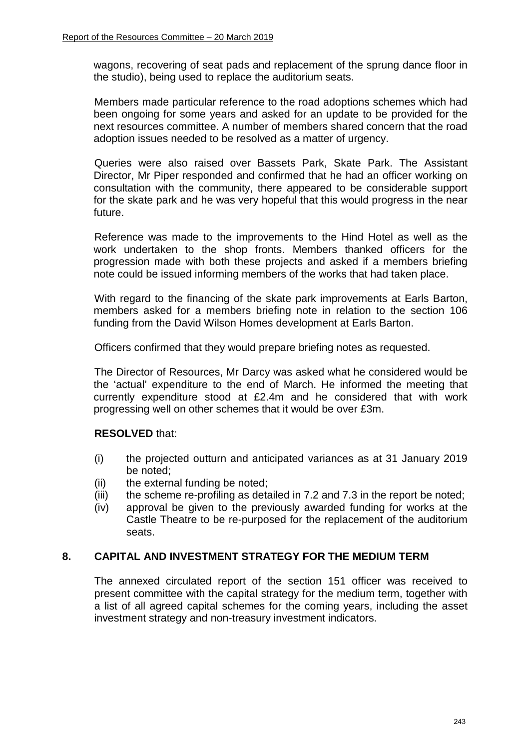wagons, recovering of seat pads and replacement of the sprung dance floor in the studio), being used to replace the auditorium seats.

Members made particular reference to the road adoptions schemes which had been ongoing for some years and asked for an update to be provided for the next resources committee. A number of members shared concern that the road adoption issues needed to be resolved as a matter of urgency.

Queries were also raised over Bassets Park, Skate Park. The Assistant Director, Mr Piper responded and confirmed that he had an officer working on consultation with the community, there appeared to be considerable support for the skate park and he was very hopeful that this would progress in the near future.

Reference was made to the improvements to the Hind Hotel as well as the work undertaken to the shop fronts. Members thanked officers for the progression made with both these projects and asked if a members briefing note could be issued informing members of the works that had taken place.

With regard to the financing of the skate park improvements at Earls Barton, members asked for a members briefing note in relation to the section 106 funding from the David Wilson Homes development at Earls Barton.

Officers confirmed that they would prepare briefing notes as requested.

The Director of Resources, Mr Darcy was asked what he considered would be the 'actual' expenditure to the end of March. He informed the meeting that currently expenditure stood at £2.4m and he considered that with work progressing well on other schemes that it would be over £3m.

# **RESOLVED** that:

- (i) the projected outturn and anticipated variances as at 31 January 2019 be noted;
- (ii) the external funding be noted;
- (iii) the scheme re-profiling as detailed in 7.2 and 7.3 in the report be noted;
- (iv) approval be given to the previously awarded funding for works at the Castle Theatre to be re-purposed for the replacement of the auditorium seats.

## **8. CAPITAL AND INVESTMENT STRATEGY FOR THE MEDIUM TERM**

The annexed circulated report of the section 151 officer was received to present committee with the capital strategy for the medium term, together with a list of all agreed capital schemes for the coming years, including the asset investment strategy and non-treasury investment indicators.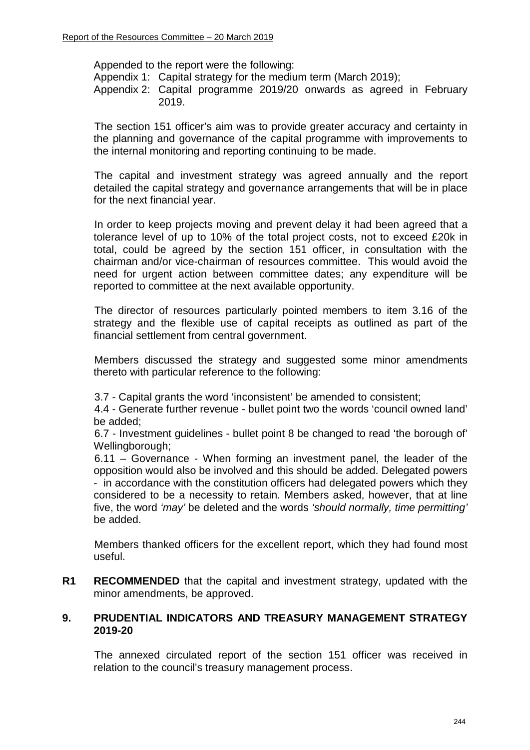Appended to the report were the following:

Appendix 1: Capital strategy for the medium term (March 2019);

Appendix 2: Capital programme 2019/20 onwards as agreed in February 2019.

The section 151 officer's aim was to provide greater accuracy and certainty in the planning and governance of the capital programme with improvements to the internal monitoring and reporting continuing to be made.

The capital and investment strategy was agreed annually and the report detailed the capital strategy and governance arrangements that will be in place for the next financial year.

In order to keep projects moving and prevent delay it had been agreed that a tolerance level of up to 10% of the total project costs, not to exceed £20k in total, could be agreed by the section 151 officer, in consultation with the chairman and/or vice-chairman of resources committee. This would avoid the need for urgent action between committee dates; any expenditure will be reported to committee at the next available opportunity.

The director of resources particularly pointed members to item 3.16 of the strategy and the flexible use of capital receipts as outlined as part of the financial settlement from central government.

Members discussed the strategy and suggested some minor amendments thereto with particular reference to the following:

3.7 - Capital grants the word 'inconsistent' be amended to consistent;

4.4 - Generate further revenue - bullet point two the words 'council owned land' be added;

6.7 - Investment guidelines - bullet point 8 be changed to read 'the borough of' Wellingborough;

6.11 – Governance - When forming an investment panel, the leader of the opposition would also be involved and this should be added. Delegated powers - in accordance with the constitution officers had delegated powers which they considered to be a necessity to retain. Members asked, however, that at line five, the word *'may'* be deleted and the words *'should normally, time permitting'* be added.

Members thanked officers for the excellent report, which they had found most useful.

**R1 RECOMMENDED** that the capital and investment strategy, updated with the minor amendments, be approved.

#### **9. PRUDENTIAL INDICATORS AND TREASURY MANAGEMENT STRATEGY 2019-20**

The annexed circulated report of the section 151 officer was received in relation to the council's treasury management process.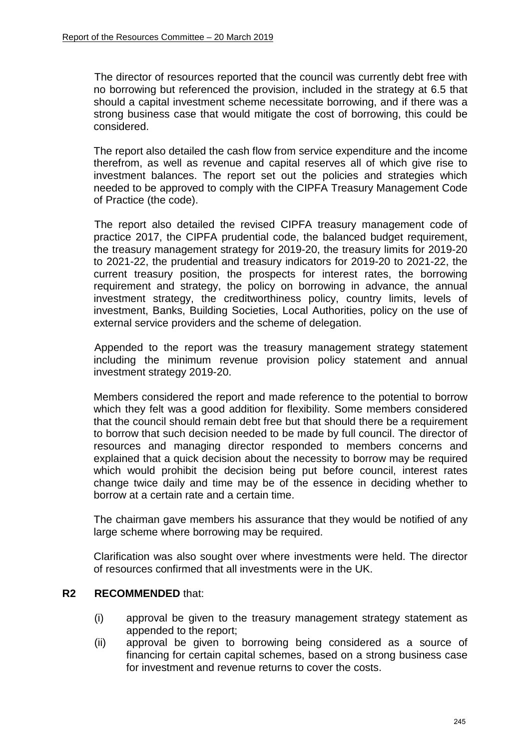The director of resources reported that the council was currently debt free with no borrowing but referenced the provision, included in the strategy at 6.5 that should a capital investment scheme necessitate borrowing, and if there was a strong business case that would mitigate the cost of borrowing, this could be considered.

The report also detailed the cash flow from service expenditure and the income therefrom, as well as revenue and capital reserves all of which give rise to investment balances. The report set out the policies and strategies which needed to be approved to comply with the CIPFA Treasury Management Code of Practice (the code).

The report also detailed the revised CIPFA treasury management code of practice 2017, the CIPFA prudential code, the balanced budget requirement, the treasury management strategy for 2019-20, the treasury limits for 2019-20 to 2021-22, the prudential and treasury indicators for 2019-20 to 2021-22, the current treasury position, the prospects for interest rates, the borrowing requirement and strategy, the policy on borrowing in advance, the annual investment strategy, the creditworthiness policy, country limits, levels of investment, Banks, Building Societies, Local Authorities, policy on the use of external service providers and the scheme of delegation.

Appended to the report was the treasury management strategy statement including the minimum revenue provision policy statement and annual investment strategy 2019-20.

Members considered the report and made reference to the potential to borrow which they felt was a good addition for flexibility. Some members considered that the council should remain debt free but that should there be a requirement to borrow that such decision needed to be made by full council. The director of resources and managing director responded to members concerns and explained that a quick decision about the necessity to borrow may be required which would prohibit the decision being put before council, interest rates change twice daily and time may be of the essence in deciding whether to borrow at a certain rate and a certain time.

The chairman gave members his assurance that they would be notified of any large scheme where borrowing may be required.

Clarification was also sought over where investments were held. The director of resources confirmed that all investments were in the UK.

## **R2 RECOMMENDED** that:

- (i) approval be given to the treasury management strategy statement as appended to the report;
- (ii) approval be given to borrowing being considered as a source of financing for certain capital schemes, based on a strong business case for investment and revenue returns to cover the costs.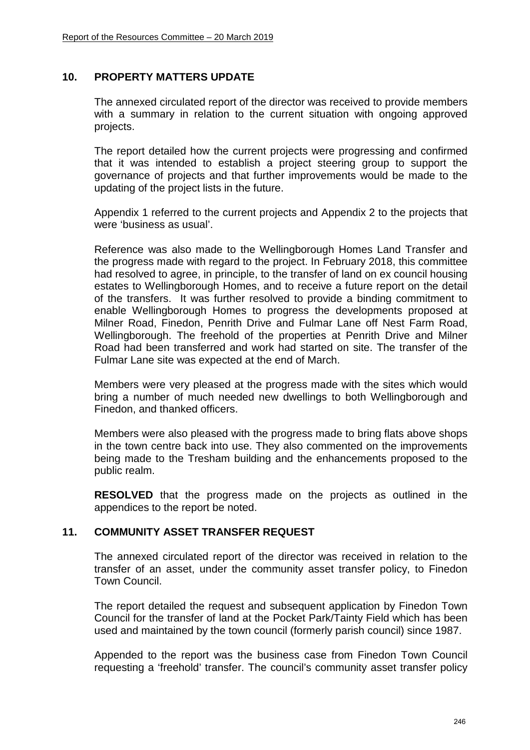# **10. PROPERTY MATTERS UPDATE**

The annexed circulated report of the director was received to provide members with a summary in relation to the current situation with ongoing approved projects.

The report detailed how the current projects were progressing and confirmed that it was intended to establish a project steering group to support the governance of projects and that further improvements would be made to the updating of the project lists in the future.

Appendix 1 referred to the current projects and Appendix 2 to the projects that were 'business as usual'.

Reference was also made to the Wellingborough Homes Land Transfer and the progress made with regard to the project. In February 2018, this committee had resolved to agree, in principle, to the transfer of land on ex council housing estates to Wellingborough Homes, and to receive a future report on the detail of the transfers. It was further resolved to provide a binding commitment to enable Wellingborough Homes to progress the developments proposed at Milner Road, Finedon, Penrith Drive and Fulmar Lane off Nest Farm Road, Wellingborough. The freehold of the properties at Penrith Drive and Milner Road had been transferred and work had started on site. The transfer of the Fulmar Lane site was expected at the end of March.

Members were very pleased at the progress made with the sites which would bring a number of much needed new dwellings to both Wellingborough and Finedon, and thanked officers.

Members were also pleased with the progress made to bring flats above shops in the town centre back into use. They also commented on the improvements being made to the Tresham building and the enhancements proposed to the public realm.

**RESOLVED** that the progress made on the projects as outlined in the appendices to the report be noted.

## **11. COMMUNITY ASSET TRANSFER REQUEST**

The annexed circulated report of the director was received in relation to the transfer of an asset, under the community asset transfer policy, to Finedon Town Council.

The report detailed the request and subsequent application by Finedon Town Council for the transfer of land at the Pocket Park/Tainty Field which has been used and maintained by the town council (formerly parish council) since 1987.

Appended to the report was the business case from Finedon Town Council requesting a 'freehold' transfer. The council's community asset transfer policy